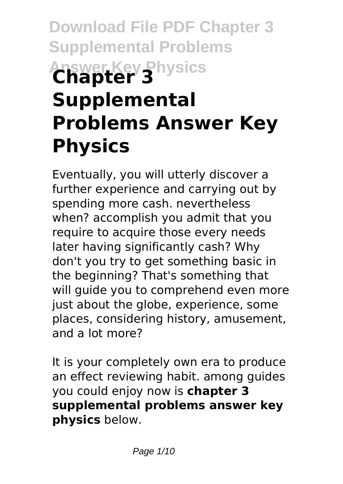# **Download File PDF Chapter 3 Supplemental Problems Answer Key Physics Chapter 3 Supplemental Problems Answer Key Physics**

Eventually, you will utterly discover a further experience and carrying out by spending more cash. nevertheless when? accomplish you admit that you require to acquire those every needs later having significantly cash? Why don't you try to get something basic in the beginning? That's something that will guide you to comprehend even more just about the globe, experience, some places, considering history, amusement, and a lot more?

It is your completely own era to produce an effect reviewing habit. among guides you could enjoy now is **chapter 3 supplemental problems answer key physics** below.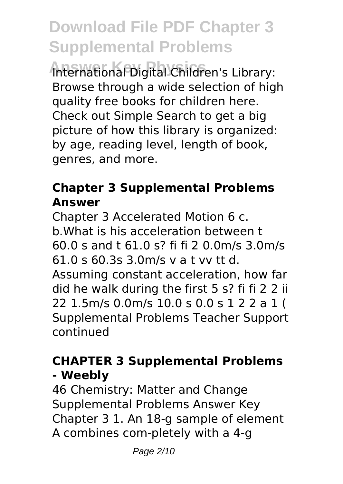**Answer Key Physics** International Digital Children's Library: Browse through a wide selection of high quality free books for children here. Check out Simple Search to get a big picture of how this library is organized: by age, reading level, length of book, genres, and more.

### **Chapter 3 Supplemental Problems Answer**

Chapter 3 Accelerated Motion 6 c. b.What is his acceleration between t 60.0 s and t 61.0 s? fi fi 2 0.0m/s 3.0m/s 61.0 s 60.3s 3.0m/s v a t vv tt d. Assuming constant acceleration, how far did he walk during the first 5 s? fi fi 2 2 ii 22 1.5m/s 0.0m/s 10.0 s 0.0 s 1 2 2 a 1 ( Supplemental Problems Teacher Support continued

### **CHAPTER 3 Supplemental Problems - Weebly**

46 Chemistry: Matter and Change Supplemental Problems Answer Key Chapter 3 1. An 18-g sample of element A combines com-pletely with a 4-g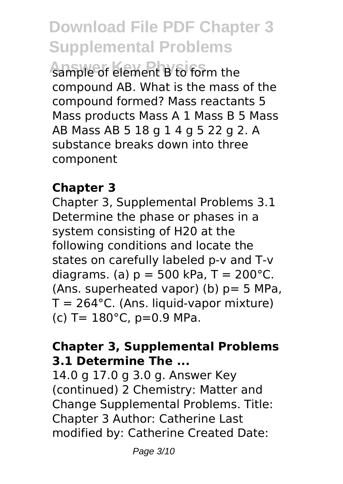**Answer Key Physics** sample of element B to form the compound AB. What is the mass of the compound formed? Mass reactants 5 Mass products Mass A 1 Mass B 5 Mass AB Mass AB 5 18 g 1 4 g 5 22 g 2. A substance breaks down into three component

### **Chapter 3**

Chapter 3, Supplemental Problems 3.1 Determine the phase or phases in a system consisting of H20 at the following conditions and locate the states on carefully labeled p-v and T-v diagrams. (a)  $p = 500$  kPa, T = 200 $^{\circ}$ C. (Ans. superheated vapor) (b)  $p=5$  MPa,  $T = 264$ °C. (Ans. liquid-vapor mixture) (c)  $T = 180^{\circ}$ C,  $p=0.9$  MPa.

### **Chapter 3, Supplemental Problems 3.1 Determine The ...**

14.0 g 17.0 g 3.0 g. Answer Key (continued) 2 Chemistry: Matter and Change Supplemental Problems. Title: Chapter 3 Author: Catherine Last modified by: Catherine Created Date: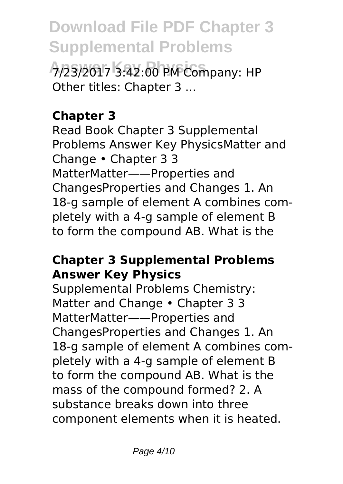**Answer Key Physics** 7/23/2017 3:42:00 PM Company: HP Other titles: Chapter 3 ...

### **Chapter 3**

Read Book Chapter 3 Supplemental Problems Answer Key PhysicsMatter and Change • Chapter 3 3 MatterMatter——Properties and ChangesProperties and Changes 1. An 18-g sample of element A combines completely with a 4-g sample of element B to form the compound AB. What is the

#### **Chapter 3 Supplemental Problems Answer Key Physics**

Supplemental Problems Chemistry: Matter and Change • Chapter 3 3 MatterMatter——Properties and ChangesProperties and Changes 1. An 18-g sample of element A combines completely with a 4-g sample of element B to form the compound AB. What is the mass of the compound formed? 2. A substance breaks down into three component elements when it is heated.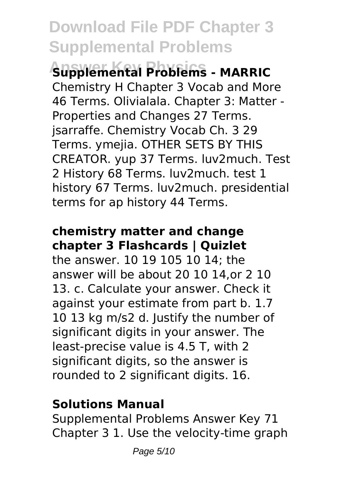**Answer Key Physics Supplemental Problems - MARRIC** Chemistry H Chapter 3 Vocab and More 46 Terms. Olivialala. Chapter 3: Matter - Properties and Changes 27 Terms. jsarraffe. Chemistry Vocab Ch. 3 29 Terms. ymejia. OTHER SETS BY THIS CREATOR. yup 37 Terms. luv2much. Test 2 History 68 Terms. luv2much. test 1 history 67 Terms. luv2much. presidential terms for ap history 44 Terms.

### **chemistry matter and change chapter 3 Flashcards | Quizlet**

the answer. 10 19 105 10 14; the answer will be about 20 10 14,or 2 10 13. c. Calculate your answer. Check it against your estimate from part b. 1.7 10 13 kg m/s2 d. Justify the number of significant digits in your answer. The least-precise value is 4.5 T, with 2 significant digits, so the answer is rounded to 2 significant digits. 16.

### **Solutions Manual**

Supplemental Problems Answer Key 71 Chapter 3 1. Use the velocity-time graph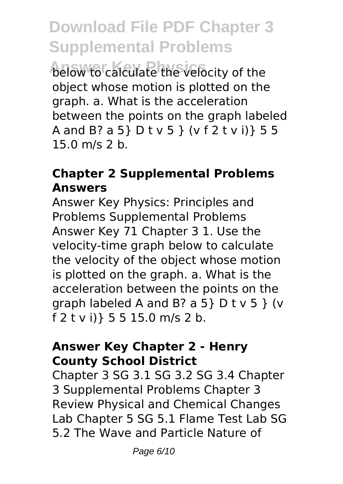**And Answer Calculate the velocity of the** object whose motion is plotted on the graph. a. What is the acceleration between the points on the graph labeled A and B? a 5} D t v 5 } (v f 2 t v i)} 5 5 15.0 m/s 2 b.

### **Chapter 2 Supplemental Problems Answers**

Answer Key Physics: Principles and Problems Supplemental Problems Answer Key 71 Chapter 3 1. Use the velocity-time graph below to calculate the velocity of the object whose motion is plotted on the graph. a. What is the acceleration between the points on the graph labeled A and B? a 5} D t v 5 } (v f 2 t v i)} 5 5 15.0 m/s 2 b.

#### **Answer Key Chapter 2 - Henry County School District**

Chapter 3 SG 3.1 SG 3.2 SG 3.4 Chapter 3 Supplemental Problems Chapter 3 Review Physical and Chemical Changes Lab Chapter 5 SG 5.1 Flame Test Lab SG 5.2 The Wave and Particle Nature of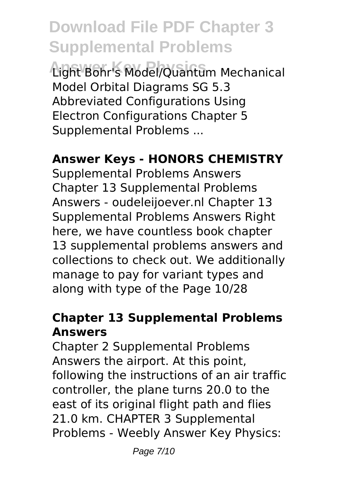**Answer Key Physics** Light Bohr's Model/Quantum Mechanical Model Orbital Diagrams SG 5.3 Abbreviated Configurations Using Electron Configurations Chapter 5 Supplemental Problems ...

#### **Answer Keys - HONORS CHEMISTRY**

Supplemental Problems Answers Chapter 13 Supplemental Problems Answers - oudeleijoever.nl Chapter 13 Supplemental Problems Answers Right here, we have countless book chapter 13 supplemental problems answers and collections to check out. We additionally manage to pay for variant types and along with type of the Page 10/28

### **Chapter 13 Supplemental Problems Answers**

Chapter 2 Supplemental Problems Answers the airport. At this point, following the instructions of an air traffic controller, the plane turns 20.0 to the east of its original flight path and flies 21.0 km. CHAPTER 3 Supplemental Problems - Weebly Answer Key Physics: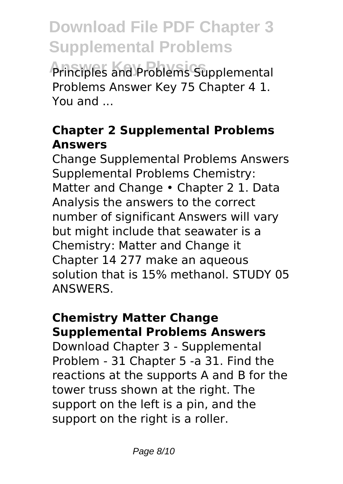**Answer Key Physics** Principles and Problems Supplemental Problems Answer Key 75 Chapter 4 1. You and ...

### **Chapter 2 Supplemental Problems Answers**

Change Supplemental Problems Answers Supplemental Problems Chemistry: Matter and Change • Chapter 2 1. Data Analysis the answers to the correct number of significant Answers will vary but might include that seawater is a Chemistry: Matter and Change it Chapter 14 277 make an aqueous solution that is 15% methanol. STUDY 05 ANSWERS.

#### **Chemistry Matter Change Supplemental Problems Answers**

Download Chapter 3 - Supplemental Problem - 31 Chapter 5 -a 31. Find the reactions at the supports A and B for the tower truss shown at the right. The support on the left is a pin, and the support on the right is a roller.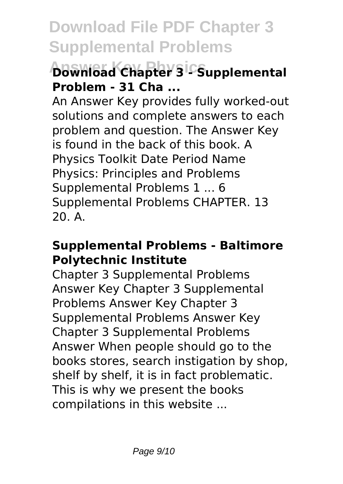### **Answer Key Physics Download Chapter 3 - Supplemental Problem - 31 Cha ...**

An Answer Key provides fully worked-out solutions and complete answers to each problem and question. The Answer Key is found in the back of this book. A Physics Toolkit Date Period Name Physics: Principles and Problems Supplemental Problems 1 ... 6 Supplemental Problems CHAPTER. 13 20. A.

#### **Supplemental Problems - Baltimore Polytechnic Institute**

Chapter 3 Supplemental Problems Answer Key Chapter 3 Supplemental Problems Answer Key Chapter 3 Supplemental Problems Answer Key Chapter 3 Supplemental Problems Answer When people should go to the books stores, search instigation by shop, shelf by shelf, it is in fact problematic. This is why we present the books compilations in this website ...